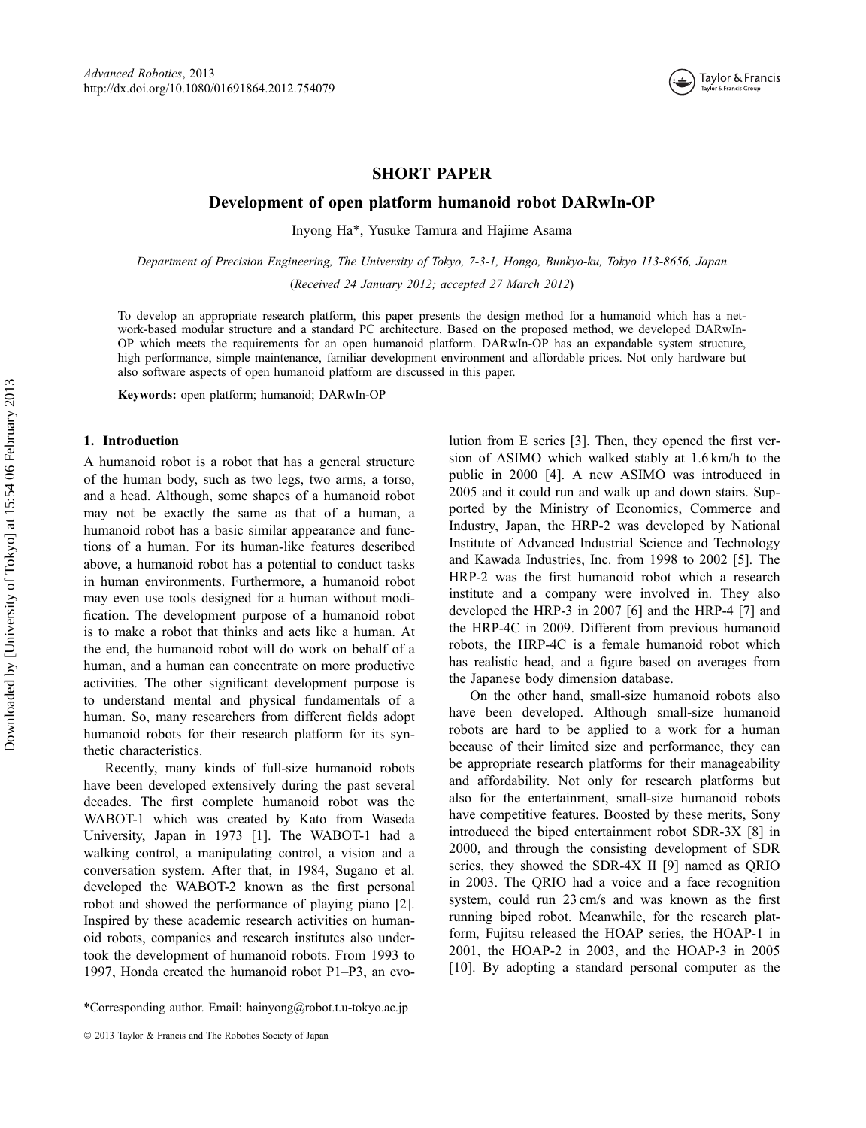

# SHORT PAPER

## Development of open platform humanoid robot DARwIn-OP

Inyong Ha\*, Yusuke Tamura and Hajime Asama

Department of Precision Engineering, The University of Tokyo, 7-3-1, Hongo, Bunkyo-ku, Tokyo 113-8656, Japan (Received 24 January 2012; accepted 27 March 2012)

To develop an appropriate research platform, this paper presents the design method for a humanoid which has a network-based modular structure and a standard PC architecture. Based on the proposed method, we developed DARwIn-OP which meets the requirements for an open humanoid platform. DARwIn-OP has an expandable system structure, high performance, simple maintenance, familiar development environment and affordable prices. Not only hardware but also software aspects of open humanoid platform are discussed in this paper.

Keywords: open platform; humanoid; DARwIn-OP

## 1. Introduction

A humanoid robot is a robot that has a general structure of the human body, such as two legs, two arms, a torso, and a head. Although, some shapes of a humanoid robot may not be exactly the same as that of a human, a humanoid robot has a basic similar appearance and functions of a human. For its human-like features described above, a humanoid robot has a potential to conduct tasks in human environments. Furthermore, a humanoid robot may even use tools designed for a human without modification. The development purpose of a humanoid robot is to make a robot that thinks and acts like a human. At the end, the humanoid robot will do work on behalf of a human, and a human can concentrate on more productive activities. The other significant development purpose is to understand mental and physical fundamentals of a human. So, many researchers from different fields adopt humanoid robots for their research platform for its synthetic characteristics.

Recently, many kinds of full-size humanoid robots have been developed extensively during the past several decades. The first complete humanoid robot was the WABOT-1 which was created by Kato from Waseda University, Japan in 1973 [1]. The WABOT-1 had a walking control, a manipulating control, a vision and a conversation system. After that, in 1984, Sugano et al. developed the WABOT-2 known as the first personal robot and showed the performance of playing piano [2]. Inspired by these academic research activities on humanoid robots, companies and research institutes also undertook the development of humanoid robots. From 1993 to 1997, Honda created the humanoid robot P1–P3, an evo-

\*Corresponding author. Email: hainyong@robot.t.u-tokyo.ac.jp

lution from E series [3]. Then, they opened the first version of ASIMO which walked stably at 1.6 km/h to the public in 2000 [4]. A new ASIMO was introduced in 2005 and it could run and walk up and down stairs. Supported by the Ministry of Economics, Commerce and Industry, Japan, the HRP-2 was developed by National Institute of Advanced Industrial Science and Technology and Kawada Industries, Inc. from 1998 to 2002 [5]. The HRP-2 was the first humanoid robot which a research institute and a company were involved in. They also developed the HRP-3 in 2007 [6] and the HRP-4 [7] and the HRP-4C in 2009. Different from previous humanoid robots, the HRP-4C is a female humanoid robot which has realistic head, and a figure based on averages from the Japanese body dimension database.

On the other hand, small-size humanoid robots also have been developed. Although small-size humanoid robots are hard to be applied to a work for a human because of their limited size and performance, they can be appropriate research platforms for their manageability and affordability. Not only for research platforms but also for the entertainment, small-size humanoid robots have competitive features. Boosted by these merits, Sony introduced the biped entertainment robot SDR-3X [8] in 2000, and through the consisting development of SDR series, they showed the SDR-4X II [9] named as QRIO in 2003. The QRIO had a voice and a face recognition system, could run 23 cm/s and was known as the first running biped robot. Meanwhile, for the research platform, Fujitsu released the HOAP series, the HOAP-1 in 2001, the HOAP-2 in 2003, and the HOAP-3 in 2005 [10]. By adopting a standard personal computer as the

2013 Taylor & Francis and The Robotics Society of Japan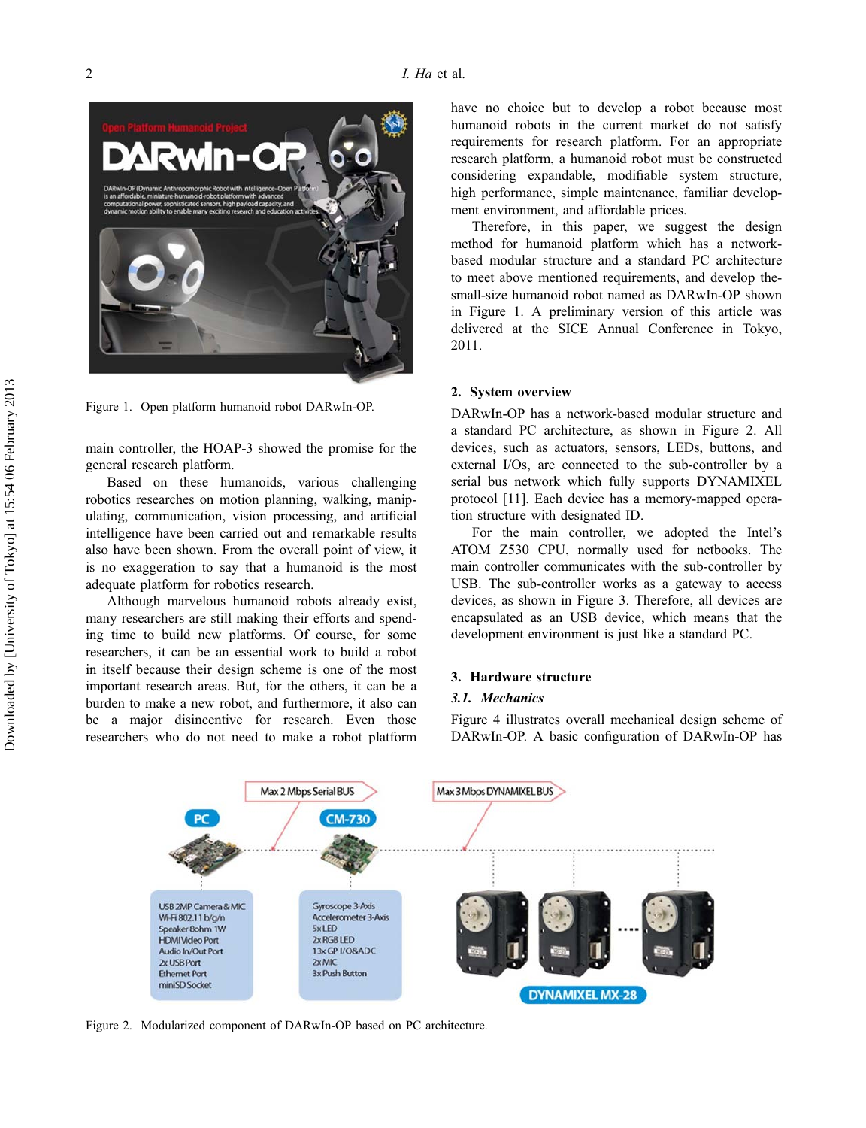

Figure 1. Open platform humanoid robot DARwIn-OP.

main controller, the HOAP-3 showed the promise for the general research platform.

Based on these humanoids, various challenging robotics researches on motion planning, walking, manipulating, communication, vision processing, and artificial intelligence have been carried out and remarkable results also have been shown. From the overall point of view, it is no exaggeration to say that a humanoid is the most adequate platform for robotics research.

Although marvelous humanoid robots already exist, many researchers are still making their efforts and spending time to build new platforms. Of course, for some researchers, it can be an essential work to build a robot in itself because their design scheme is one of the most important research areas. But, for the others, it can be a burden to make a new robot, and furthermore, it also can be a major disincentive for research. Even those researchers who do not need to make a robot platform have no choice but to develop a robot because most humanoid robots in the current market do not satisfy requirements for research platform. For an appropriate research platform, a humanoid robot must be constructed considering expandable, modifiable system structure, high performance, simple maintenance, familiar development environment, and affordable prices.

Therefore, in this paper, we suggest the design method for humanoid platform which has a networkbased modular structure and a standard PC architecture to meet above mentioned requirements, and develop thesmall-size humanoid robot named as DARwIn-OP shown in Figure 1. A preliminary version of this article was delivered at the SICE Annual Conference in Tokyo, 2011.

#### 2. System overview

DARwIn-OP has a network-based modular structure and a standard PC architecture, as shown in Figure 2. All devices, such as actuators, sensors, LEDs, buttons, and external I/Os, are connected to the sub-controller by a serial bus network which fully supports DYNAMIXEL protocol [11]. Each device has a memory-mapped operation structure with designated ID.

For the main controller, we adopted the Intel's ATOM Z530 CPU, normally used for netbooks. The main controller communicates with the sub-controller by USB. The sub-controller works as a gateway to access devices, as shown in Figure 3. Therefore, all devices are encapsulated as an USB device, which means that the development environment is just like a standard PC.

## 3. Hardware structure

## 3.1. Mechanics

Figure 4 illustrates overall mechanical design scheme of DARwIn-OP. A basic configuration of DARwIn-OP has



Figure 2. Modularized component of DARwIn-OP based on PC architecture.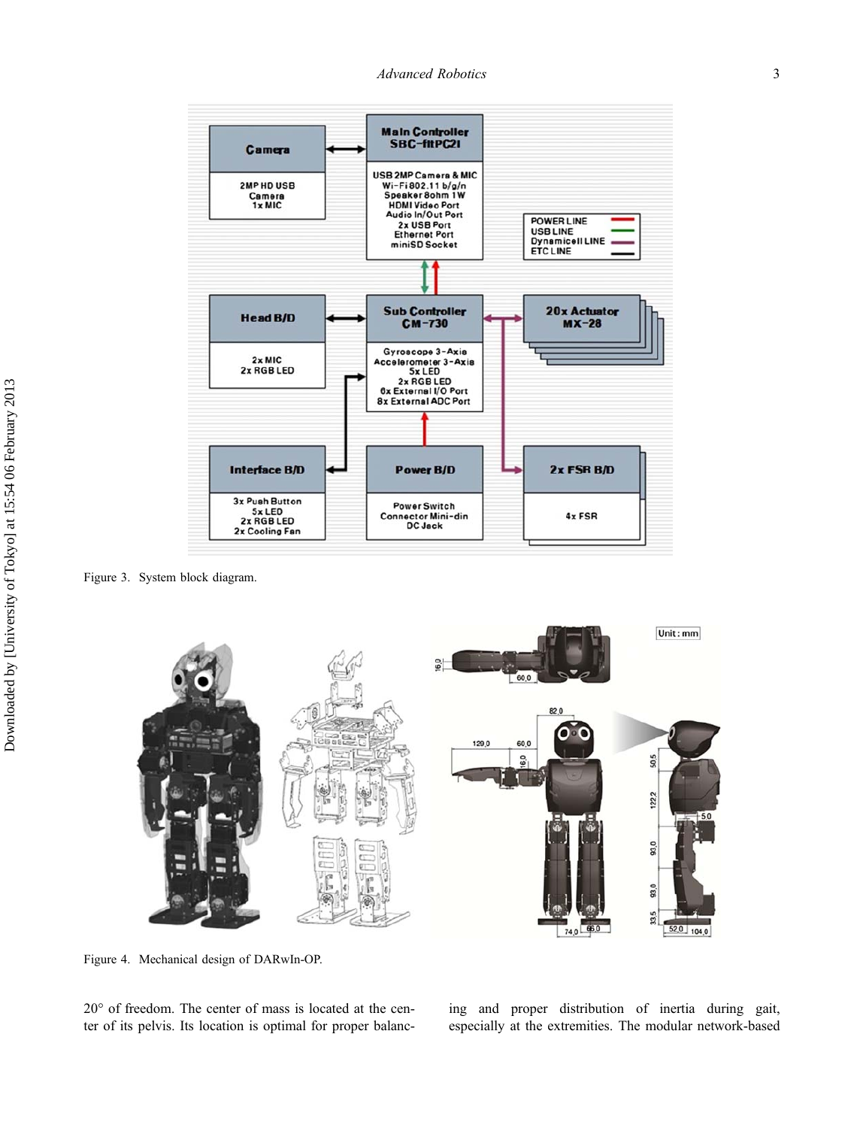Advanced Robotics 3



Figure 3. System block diagram.



Figure 4. Mechanical design of DARwIn-OP.

20° of freedom. The center of mass is located at the center of its pelvis. Its location is optimal for proper balanc-

ing and proper distribution of inertia during gait, especially at the extremities. The modular network-based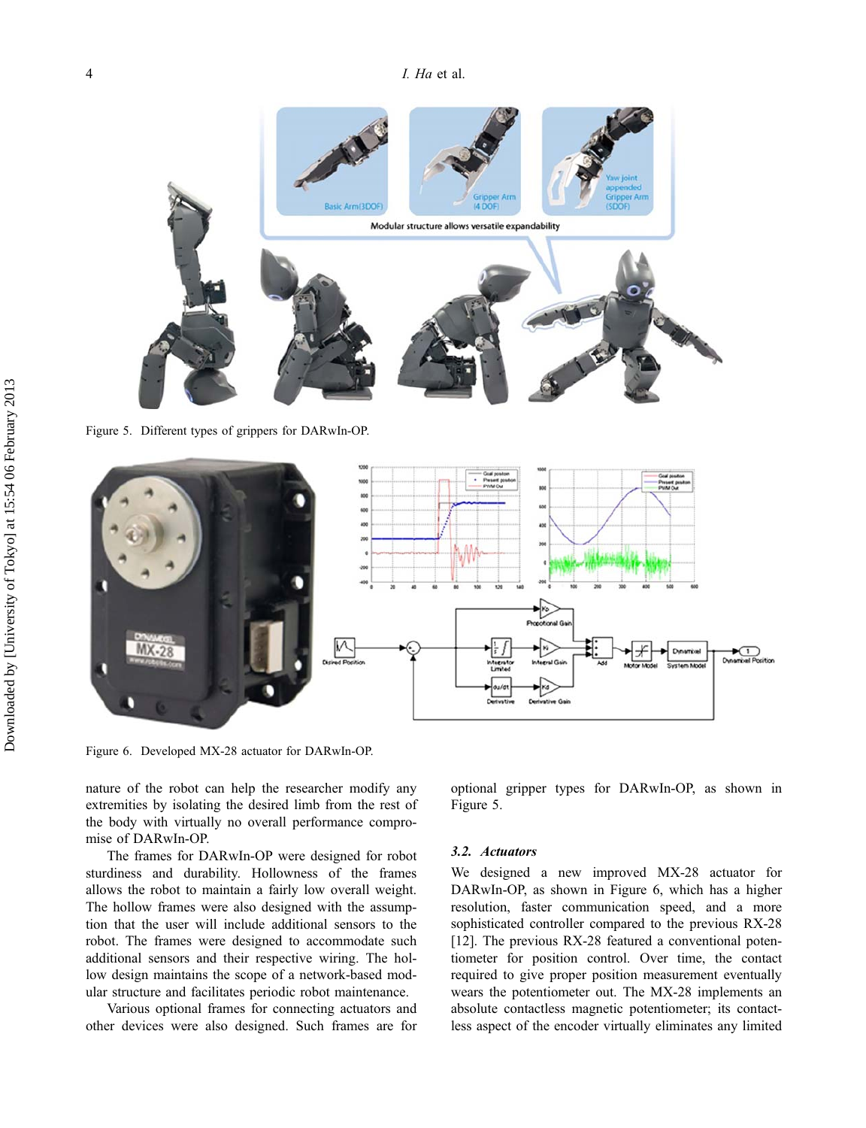

Figure 5. Different types of grippers for DARwIn-OP.



Figure 6. Developed MX-28 actuator for DARwIn-OP.

nature of the robot can help the researcher modify any extremities by isolating the desired limb from the rest of the body with virtually no overall performance compromise of DARwIn-OP.

The frames for DARwIn-OP were designed for robot sturdiness and durability. Hollowness of the frames allows the robot to maintain a fairly low overall weight. The hollow frames were also designed with the assumption that the user will include additional sensors to the robot. The frames were designed to accommodate such additional sensors and their respective wiring. The hollow design maintains the scope of a network-based modular structure and facilitates periodic robot maintenance.

Various optional frames for connecting actuators and other devices were also designed. Such frames are for optional gripper types for DARwIn-OP, as shown in Figure 5.

#### 3.2. Actuators

We designed a new improved MX-28 actuator for DARwIn-OP, as shown in Figure 6, which has a higher resolution, faster communication speed, and a more sophisticated controller compared to the previous RX-28 [12]. The previous RX-28 featured a conventional potentiometer for position control. Over time, the contact required to give proper position measurement eventually wears the potentiometer out. The MX-28 implements an absolute contactless magnetic potentiometer; its contactless aspect of the encoder virtually eliminates any limited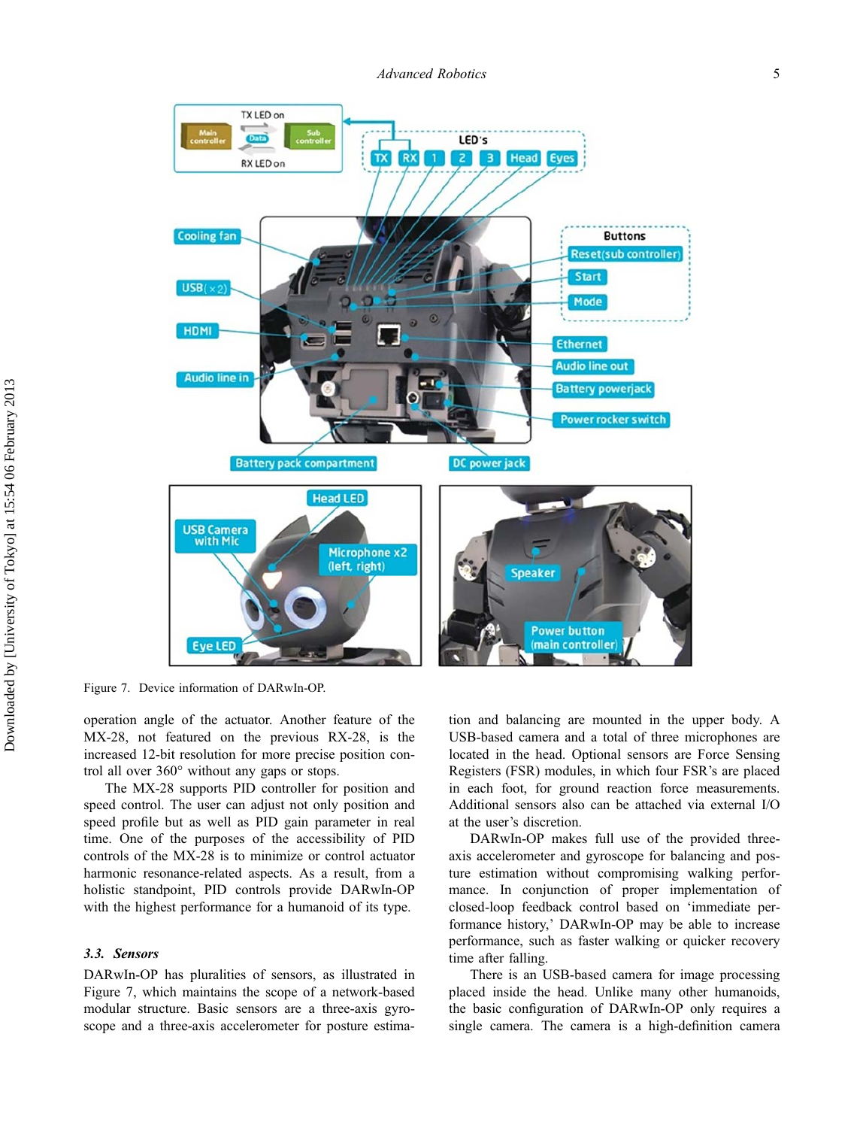

Figure 7. Device information of DARwIn-OP.

operation angle of the actuator. Another feature of the MX-28, not featured on the previous RX-28, is the increased 12-bit resolution for more precise position control all over 360° without any gaps or stops.

The MX-28 supports PID controller for position and speed control. The user can adjust not only position and speed profile but as well as PID gain parameter in real time. One of the purposes of the accessibility of PID controls of the MX-28 is to minimize or control actuator harmonic resonance-related aspects. As a result, from a holistic standpoint, PID controls provide DARwIn-OP with the highest performance for a humanoid of its type.

## 3.3. Sensors

DARwIn-OP has pluralities of sensors, as illustrated in Figure 7, which maintains the scope of a network-based modular structure. Basic sensors are a three-axis gyroscope and a three-axis accelerometer for posture estima-

tion and balancing are mounted in the upper body. A USB-based camera and a total of three microphones are located in the head. Optional sensors are Force Sensing Registers (FSR) modules, in which four FSR's are placed in each foot, for ground reaction force measurements. Additional sensors also can be attached via external I/O at the user's discretion.

DARwIn-OP makes full use of the provided threeaxis accelerometer and gyroscope for balancing and posture estimation without compromising walking performance. In conjunction of proper implementation of closed-loop feedback control based on 'immediate performance history,' DARwIn-OP may be able to increase performance, such as faster walking or quicker recovery time after falling.

There is an USB-based camera for image processing placed inside the head. Unlike many other humanoids, the basic configuration of DARwIn-OP only requires a single camera. The camera is a high-definition camera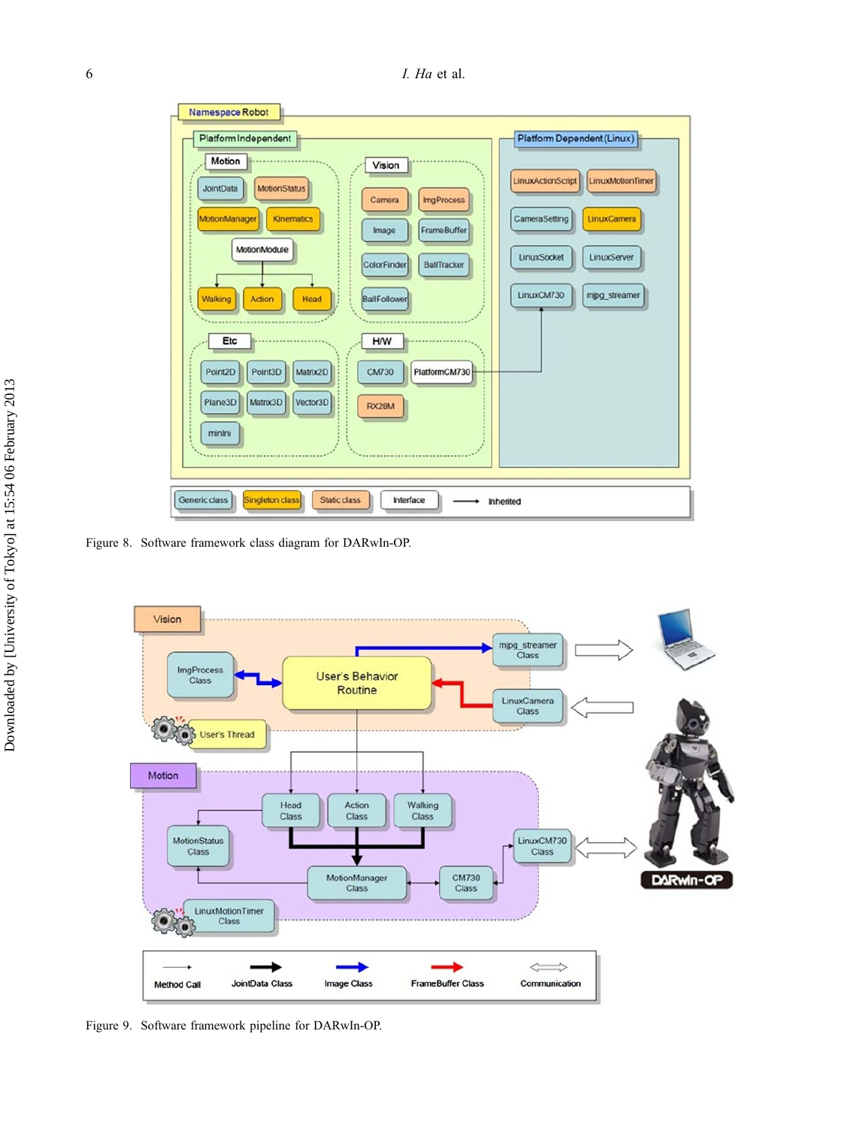| Namespace Robot<br>Platform Independent<br>Motion<br>Vision<br><b>MotionStatus</b><br><b>JointData</b><br><b>ImgProcess</b><br>Camera                               | Platform Dependent (Linux)<br>LinuxActionScript LinuxMotionTimer                          |  |  |  |  |  |
|---------------------------------------------------------------------------------------------------------------------------------------------------------------------|-------------------------------------------------------------------------------------------|--|--|--|--|--|
| MotionManager<br><b>Kinematics</b><br><b>FrameBuffer</b><br>Image<br>MotionModule<br>ColorFinder<br><b>BallTracker</b><br>BallFollower<br>Walking<br>Head<br>Action | CameraSetting<br>LinuxCamera<br>LinuxSocket<br>LinuxServer<br>LinuxCM730<br>mipg_streamer |  |  |  |  |  |
| Etc<br><b>H/W</b><br>PlatformCM730<br>Point2D<br>Point3D<br>Matrix2D<br><b>CM730</b><br>Matrix3D<br>Vector3D<br>Plane3D<br><b>RX28M</b><br>minini                   |                                                                                           |  |  |  |  |  |
| Singleton class<br>Generic class<br><b>Static class</b><br>Interface<br><b>Inherited</b>                                                                            |                                                                                           |  |  |  |  |  |

Figure 8. Software framework class diagram for DARwIn-OP.



Figure 9. Software framework pipeline for DARwIn-OP.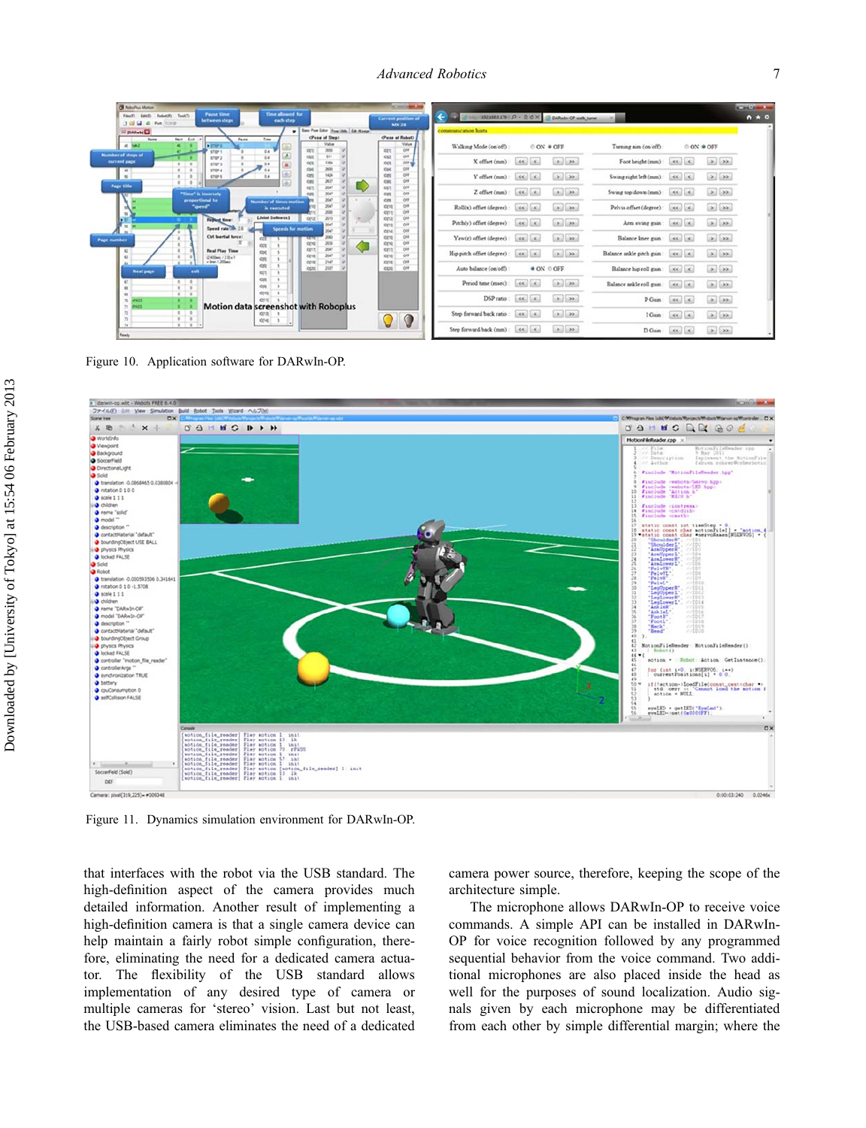| Robert TestT:<br>each step.<br>between steps<br><b>JUN A AK TOW</b>                                                                                |                            | Current position of<br>MX-28               | 4 C A - NUMATR P - ROX A DAMA-OF anh tune |                                                     |                                                                    |                          |                                                                                                                   |                                                              |
|----------------------------------------------------------------------------------------------------------------------------------------------------|----------------------------|--------------------------------------------|-------------------------------------------|-----------------------------------------------------|--------------------------------------------------------------------|--------------------------|-------------------------------------------------------------------------------------------------------------------|--------------------------------------------------------------|
| U Barc Fore Libr   Francisco   Sat. Names<br><b>El panel El</b><br>(Pone of Step)<br>Neut Euro<br><b>Norme</b><br>Fade<br>Tues                     |                            | (Pass of Robot)                            | communication hints.                      |                                                     |                                                                    |                          |                                                                                                                   |                                                              |
| $45$ $\text{MeV}$<br>Value<br>$\bullet$ stars<br>3550<br><b>CCT</b><br>ster t<br>0.4                                                               | Kin                        | Value<br>008                               | Walking Mode (on off):                    |                                                     | O ON # OFF                                                         | Turning aim (on off):    |                                                                                                                   | OON # OFF                                                    |
| Number of steps of<br><b>SEE</b><br>cc.<br>44<br>show a<br>current page<br>1354<br><b>CCL</b><br>0.4<br>stors.                                     | 1003<br>KOL                | CHI<br>OFF NO                              | X offset (mm)                             | $\epsilon\epsilon$ , $\epsilon$ ,                   | $\begin{array}{ c c c }\hline \textbf{a} & \textbf{a} \end{array}$ | Foot height (mm):        | $\left\vert \left\langle \epsilon\right\vert \right\vert \left\vert \left\langle \epsilon\right\vert \right\vert$ | $\mathbf{E}$                                                 |
| CH <sub>3</sub><br>2011<br>$\bullet$<br>STEP 4<br>1434<br>cet<br>$\infty$<br><b>STOPS</b><br>84<br>2627<br>CIL                                     | KH<br>Ket<br>KIR           | cer<br>$_{\text{cut}}$<br>CAR              | Y offset (mm)                             | $\mathcal{L}(\mathcal{L})=\mathcal{L}$ .            | $\left  \cdot \right $ $\rightarrow$                               | Swing right left (mm)    | $\ll$ $\mid$ $\ll$                                                                                                | $\rightarrow$ $\rightarrow$                                  |
| <b>Page title</b><br>2567<br><b>cct</b><br>"Time" is inversely<br>cer<br>2047                                                                      | IDE1<br>XX                 | CHI<br><b>CAY</b>                          | Z offset (mm):                            | $ S6 $ $ S $                                        | $\left  \cdot \right $ $\rightarrow$                               | Swing top down (mm):     | $\epsilon\epsilon$ , $\epsilon$                                                                                   | $\left  \cdot \right\rangle$ $\left  \cdot \right\rangle$    |
| 2047<br>proportional to<br>Number of times motion<br>3547<br>"speed"<br><b><i><u><u>A</u></u></i></b> executed<br>2041<br>$=$ $\frac{1}{2}$        | <b>Kett</b><br>ord<br>RETT | CHF<br>$_{\text{cut}}$<br>$_{\text{crit}}$ | Roll(x) offset (degree):                  | $\alpha$                                            | $\mathcal{L}$                                                      | Pelvis offset (degree):  |                                                                                                                   | $\left  \cdot \right $ $\left  \cdot \right $                |
| <b>Liolat Subness1</b><br>cro<br>2013<br><b>IF IT</b><br><b>Repaud time</b> :<br>2547<br><b>Tara</b><br>Speed rate the<br><b>Speeds for motion</b> | ceta<br>cen                | CAS<br>CAV                                 | Pitch(y) offset (degree):                 | $ 46\rangle$ $ 4\rangle$                            | $[2]$ $[3]$                                                        | Arm swing gain           | $ 46\rangle$ $ 46\rangle$                                                                                         | $ a $ $ ab $                                                 |
| 2567<br>$\mathbf{m}$<br>Ctd Inertial force:<br>20K3<br><b>Page number</b><br>3030<br>cn                                                            | KIN<br>ces<br>KING         | CAT<br>O/I<br>CAR                          | Yaw(z) offset (degree)                    | $\mathcal{L}(\mathcal{L})=\mathcal{L}(\mathcal{L})$ |                                                                    | Balance knee gain        | 44.44                                                                                                             |                                                              |
| ccs<br>256<br><b>CET</b><br>$\overline{a}$<br><b>Real Play Time</b><br>CIK<br>26K <sup>*</sup><br>cra<br>(2400es / 20 x 1)<br>+ Dren 1,000es<br>cn | <b>KEVT</b><br><b>KEVE</b> | CAR<br>$0$                                 | Hip pitch offset (degree):                | $\epsilon\epsilon$ , $\epsilon$                     | $\bullet$ $\bullet$                                                | Balance askle pitch gain | $\left  \mathcal{A} \right $                                                                                      | 2.122                                                        |
| 2147<br>CC15<br>Coll<br>200<br>cos<br><b>Next page</b><br>exit.<br>CCT.                                                                            | cen<br>con                 | CAR<br>cer                                 | Auto balance (on off)                     |                                                     | ● ON © OFF                                                         | Balance hip roll gain    | $\mathcal{L}(\mathcal{L}_1) = \mathcal{L}_2$                                                                      | $\left  \cdot \right $ $\left  \cdot \right $                |
| cen<br>0.14<br>$\epsilon$<br>cer<br>$\sqrt{2}$                                                                                                     |                            |                                            | Period time (msec):                       | $-46.1 - 6.1$                                       | $\left  \cdot \right $ $\rightarrow$                               | Balance askle roll gain  | $-46$ $-6$                                                                                                        | $\left[ \begin{array}{c} \circ \\ \circ \end{array} \right]$ |
| org<br>0.14<br><b>COVE</b><br>14403<br>$\mathcal{R}$                                                                                               |                            |                                            | DSP ratio                                 | $\epsilon$                                          | $\left  \begin{array}{c} \lambda \\ \lambda \end{array} \right $   | P Gam                    | $\mathcal{L}(\mathcal{L}) = \mathcal{L}(\mathcal{L})$                                                             |                                                              |
| <b>Motion data screenshot with Roboplus</b><br><b>71 MADS</b><br>문소<br><b>CITY</b><br>$\mathcal{L}$<br>itrie                                       |                            | O                                          | Step forward back ratio                   |                                                     | $\boxed{2}$ $\boxed{32}$                                           | 1 Gain                   | $\epsilon\epsilon$ , $\epsilon$                                                                                   | $\left  \cdot \right\rangle$ $\left  \cdot \right\rangle$    |
| $\overline{0}$<br>24                                                                                                                               |                            |                                            | Step forward back (mm)                    | $-66$ $-6$                                          | $\mathcal{L}$                                                      | D Gain                   | $\left\vert \mathcal{A}\right\vert$                                                                               | $\rightarrow$                                                |

Figure 10. Application software for DARwIn-OP.



Figure 11. Dynamics simulation environment for DARwIn-OP.

that interfaces with the robot via the USB standard. The high-definition aspect of the camera provides much detailed information. Another result of implementing a high-definition camera is that a single camera device can help maintain a fairly robot simple configuration, therefore, eliminating the need for a dedicated camera actuator. The flexibility of the USB standard allows implementation of any desired type of camera or multiple cameras for 'stereo' vision. Last but not least, the USB-based camera eliminates the need of a dedicated camera power source, therefore, keeping the scope of the architecture simple.

The microphone allows DARwIn-OP to receive voice commands. A simple API can be installed in DARwIn-OP for voice recognition followed by any programmed sequential behavior from the voice command. Two additional microphones are also placed inside the head as well for the purposes of sound localization. Audio signals given by each microphone may be differentiated from each other by simple differential margin; where the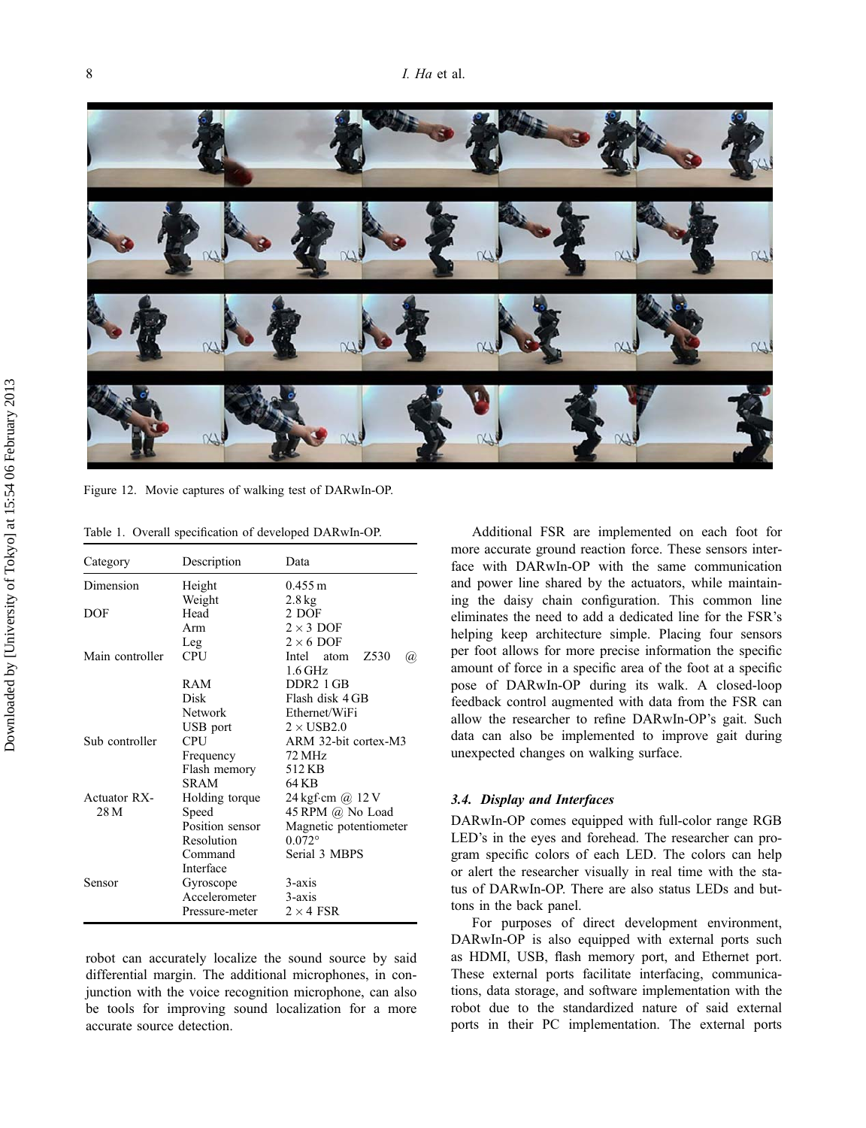

Figure 12. Movie captures of walking test of DARwIn-OP.

Table 1. Overall specification of developed DARwIn-OP.

| Category        | Description     | Data                                   |  |  |  |  |  |
|-----------------|-----------------|----------------------------------------|--|--|--|--|--|
| Dimension       | Height          | $0.455 \text{ m}$                      |  |  |  |  |  |
|                 | Weight          | $2.8 \text{ kg}$                       |  |  |  |  |  |
| DOF             | Head            | 2 DOF                                  |  |  |  |  |  |
|                 | Arm             | $2 \times 3$ DOF                       |  |  |  |  |  |
|                 | Leg             | $2 \times 6$ DOF                       |  |  |  |  |  |
| Main controller | <b>CPU</b>      | Z <sub>530</sub><br>Intel atom<br>(a), |  |  |  |  |  |
|                 |                 | $1.6$ GHz                              |  |  |  |  |  |
|                 | RAM             | DDR <sub>2</sub> 1 GB                  |  |  |  |  |  |
|                 | Disk            | Flash disk 4 GB                        |  |  |  |  |  |
|                 | Network         | Ethernet/WiFi                          |  |  |  |  |  |
|                 | USB port        | $2 \times$ USB2.0                      |  |  |  |  |  |
| Sub controller  | <b>CPU</b>      | ARM 32-bit cortex-M3                   |  |  |  |  |  |
|                 | Frequency       | 72 MHz                                 |  |  |  |  |  |
|                 | Flash memory    | 512 KB                                 |  |  |  |  |  |
|                 | <b>SRAM</b>     | 64 K B                                 |  |  |  |  |  |
| Actuator RX-    | Holding torque  | 24 kgf·cm @ 12 V                       |  |  |  |  |  |
| 28 M            | Speed           | 45 RPM @ No Load                       |  |  |  |  |  |
|                 | Position sensor | Magnetic potentiometer                 |  |  |  |  |  |
|                 | Resolution      | $0.072$ °                              |  |  |  |  |  |
|                 | Command         | Serial 3 MBPS                          |  |  |  |  |  |
|                 | Interface       |                                        |  |  |  |  |  |
| Sensor          | Gyroscope       | $3 - axis$                             |  |  |  |  |  |
|                 | Accelerometer   | $3-axis$                               |  |  |  |  |  |
|                 | Pressure-meter  | $2 \times 4$ FSR                       |  |  |  |  |  |

robot can accurately localize the sound source by said differential margin. The additional microphones, in conjunction with the voice recognition microphone, can also be tools for improving sound localization for a more accurate source detection.

Additional FSR are implemented on each foot for more accurate ground reaction force. These sensors interface with DARwIn-OP with the same communication and power line shared by the actuators, while maintaining the daisy chain configuration. This common line eliminates the need to add a dedicated line for the FSR's helping keep architecture simple. Placing four sensors per foot allows for more precise information the specific amount of force in a specific area of the foot at a specific pose of DARwIn-OP during its walk. A closed-loop feedback control augmented with data from the FSR can allow the researcher to refine DARwIn-OP's gait. Such data can also be implemented to improve gait during unexpected changes on walking surface.

## 3.4. Display and Interfaces

DARwIn-OP comes equipped with full-color range RGB LED's in the eyes and forehead. The researcher can program specific colors of each LED. The colors can help or alert the researcher visually in real time with the status of DARwIn-OP. There are also status LEDs and buttons in the back panel.

For purposes of direct development environment, DARwIn-OP is also equipped with external ports such as HDMI, USB, flash memory port, and Ethernet port. These external ports facilitate interfacing, communications, data storage, and software implementation with the robot due to the standardized nature of said external ports in their PC implementation. The external ports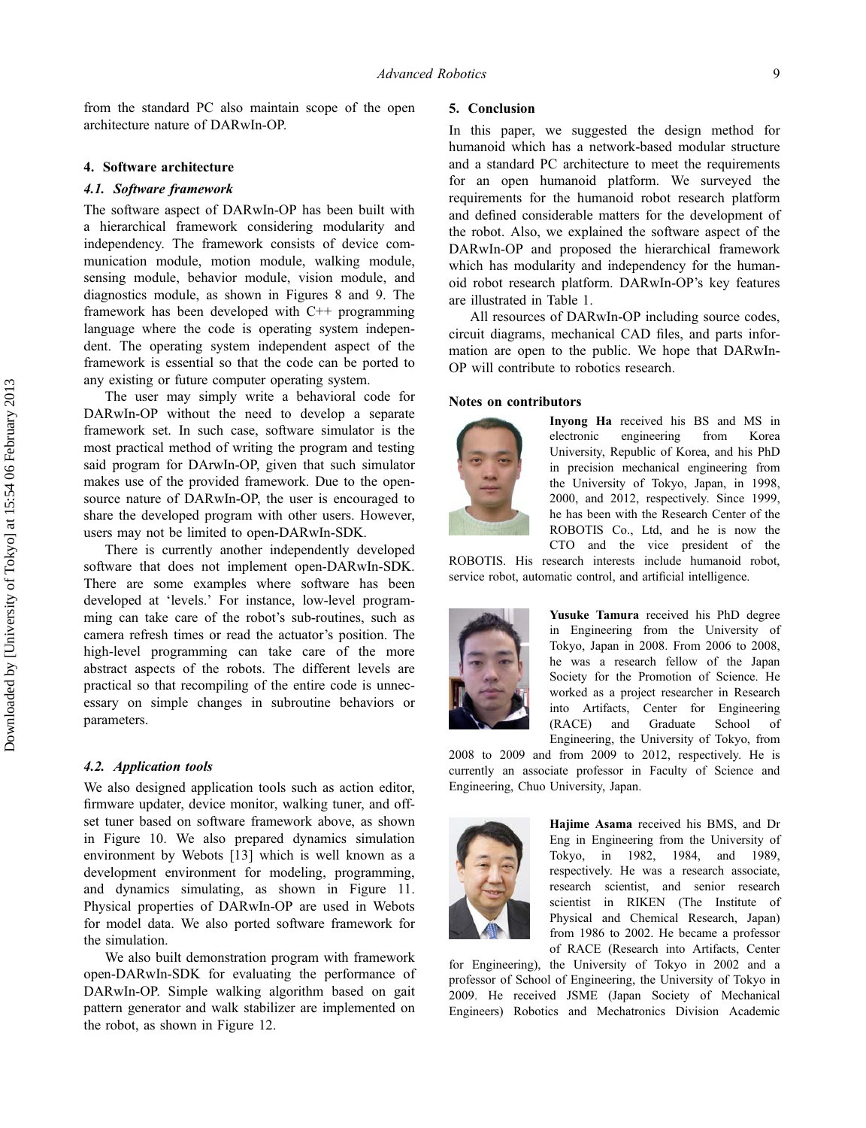from the standard PC also maintain scope of the open architecture nature of DARwIn-OP.

## 4. Software architecture

#### 4.1. Software framework

The software aspect of DARwIn-OP has been built with a hierarchical framework considering modularity and independency. The framework consists of device communication module, motion module, walking module, sensing module, behavior module, vision module, and diagnostics module, as shown in Figures 8 and 9. The framework has been developed with C++ programming language where the code is operating system independent. The operating system independent aspect of the framework is essential so that the code can be ported to any existing or future computer operating system.

The user may simply write a behavioral code for DARwIn-OP without the need to develop a separate framework set. In such case, software simulator is the most practical method of writing the program and testing said program for DArwIn-OP, given that such simulator makes use of the provided framework. Due to the opensource nature of DARwIn-OP, the user is encouraged to share the developed program with other users. However, users may not be limited to open-DARwIn-SDK.

There is currently another independently developed software that does not implement open-DARwIn-SDK. There are some examples where software has been developed at 'levels.' For instance, low-level programming can take care of the robot's sub-routines, such as camera refresh times or read the actuator's position. The high-level programming can take care of the more abstract aspects of the robots. The different levels are practical so that recompiling of the entire code is unnecessary on simple changes in subroutine behaviors or parameters.

### 4.2. Application tools

We also designed application tools such as action editor, firmware updater, device monitor, walking tuner, and offset tuner based on software framework above, as shown in Figure 10. We also prepared dynamics simulation environment by Webots [13] which is well known as a development environment for modeling, programming, and dynamics simulating, as shown in Figure 11. Physical properties of DARwIn-OP are used in Webots for model data. We also ported software framework for the simulation.

We also built demonstration program with framework open-DARwIn-SDK for evaluating the performance of DARwIn-OP. Simple walking algorithm based on gait pattern generator and walk stabilizer are implemented on the robot, as shown in Figure 12.

## 5. Conclusion

In this paper, we suggested the design method for humanoid which has a network-based modular structure and a standard PC architecture to meet the requirements for an open humanoid platform. We surveyed the requirements for the humanoid robot research platform and defined considerable matters for the development of the robot. Also, we explained the software aspect of the DARwIn-OP and proposed the hierarchical framework which has modularity and independency for the humanoid robot research platform. DARwIn-OP's key features are illustrated in Table 1.

All resources of DARwIn-OP including source codes, circuit diagrams, mechanical CAD files, and parts information are open to the public. We hope that DARwIn-OP will contribute to robotics research.

## Notes on contributors



Inyong Ha received his BS and MS in electronic engineering from Korea University, Republic of Korea, and his PhD in precision mechanical engineering from the University of Tokyo, Japan, in 1998, 2000, and 2012, respectively. Since 1999, he has been with the Research Center of the ROBOTIS Co., Ltd, and he is now the CTO and the vice president of the

ROBOTIS. His research interests include humanoid robot, service robot, automatic control, and artificial intelligence.



Yusuke Tamura received his PhD degree in Engineering from the University of Tokyo, Japan in 2008. From 2006 to 2008, he was a research fellow of the Japan Society for the Promotion of Science. He worked as a project researcher in Research into Artifacts, Center for Engineering (RACE) and Graduate School of Engineering, the University of Tokyo, from

2008 to 2009 and from 2009 to 2012, respectively. He is currently an associate professor in Faculty of Science and Engineering, Chuo University, Japan.



Hajime Asama received his BMS, and Dr Eng in Engineering from the University of Tokyo, in 1982, 1984, and 1989, respectively. He was a research associate, research scientist, and senior research scientist in RIKEN (The Institute of Physical and Chemical Research, Japan) from 1986 to 2002. He became a professor of RACE (Research into Artifacts, Center

for Engineering), the University of Tokyo in 2002 and a professor of School of Engineering, the University of Tokyo in 2009. He received JSME (Japan Society of Mechanical Engineers) Robotics and Mechatronics Division Academic